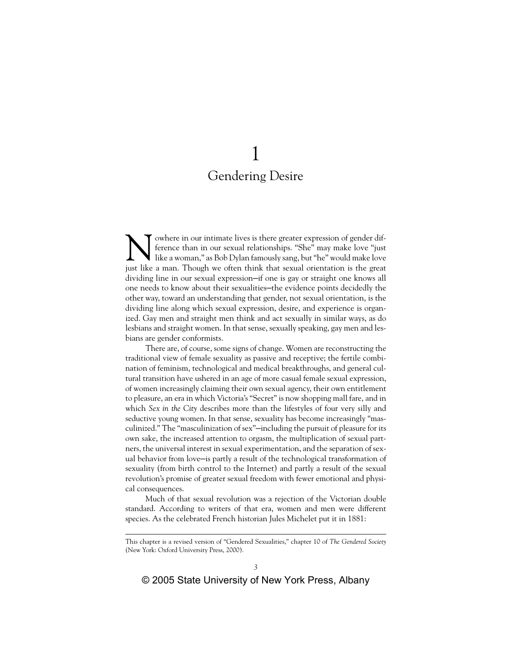We owhere in our intimate lives is there greater expression of gender difference than in our sexual relationships. "She" may make love "just" like a woman," as Bob Dylan famously sang, but "he" would make love just like a ference than in our sexual relationships. "She" may make love "just like a woman," as Bob Dylan famously sang, but "he" would make love just like a man. Though we often think that sexual orientation is the great dividing line in our sexual expression**—**if one is gay or straight one knows all one needs to know about their sexualities**—**the evidence points decidedly the other way, toward an understanding that gender, not sexual orientation, is the dividing line along which sexual expression, desire, and experience is organized. Gay men and straight men think and act sexually in similar ways, as do lesbians and straight women. In that sense, sexually speaking, gay men and lesbians are gender conformists.

There are, of course, some signs of change. Women are reconstructing the traditional view of female sexuality as passive and receptive; the fertile combination of feminism, technological and medical breakthroughs, and general cultural transition have ushered in an age of more casual female sexual expression, of women increasingly claiming their own sexual agency, their own entitlement to pleasure, an era in which Victoria's "Secret" is now shopping mall fare, and in which *Sex in the City* describes more than the lifestyles of four very silly and seductive young women. In that sense, sexuality has become increasingly "masculinized." The "masculinization of sex"**—**including the pursuit of pleasure for its own sake, the increased attention to orgasm, the multiplication of sexual partners, the universal interest in sexual experimentation, and the separation of sexual behavior from love**—**is partly a result of the technological transformation of sexuality (from birth control to the Internet) and partly a result of the sexual revolution's promise of greater sexual freedom with fewer emotional and physical consequences.

Much of that sexual revolution was a rejection of the Victorian double standard. According to writers of that era, women and men were different species. As the celebrated French historian Jules Michelet put it in 1881:

This chapter is a revised version of "Gendered Sexualities," chapter 10 of *The Gendered Society* (New York: Oxford University Press, 2000).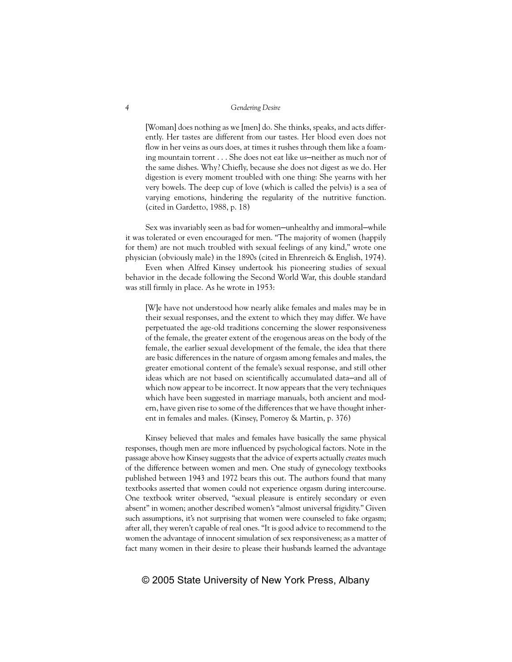[Woman] does nothing as we [men] do. She thinks, speaks, and acts differently. Her tastes are different from our tastes. Her blood even does not flow in her veins as ours does, at times it rushes through them like a foaming mountain torrent . . . She does not eat like us**—**neither as much nor of the same dishes. Why? Chiefly, because she does not digest as we do. Her digestion is every moment troubled with one thing: She yearns with her very bowels. The deep cup of love (which is called the pelvis) is a sea of varying emotions, hindering the regularity of the nutritive function. (cited in Gardetto, 1988, p. 18)

Sex was invariably seen as bad for women**—**unhealthy and immoral**—**while it was tolerated or even encouraged for men. "The majority of women (happily for them) are not much troubled with sexual feelings of any kind," wrote one physician (obviously male) in the 1890s (cited in Ehrenreich & English, 1974).

Even when Alfred Kinsey undertook his pioneering studies of sexual behavior in the decade following the Second World War, this double standard was still firmly in place. As he wrote in 1953:

[W]e have not understood how nearly alike females and males may be in their sexual responses, and the extent to which they may differ. We have perpetuated the age-old traditions concerning the slower responsiveness of the female, the greater extent of the erogenous areas on the body of the female, the earlier sexual development of the female, the idea that there are basic differences in the nature of orgasm among females and males, the greater emotional content of the female's sexual response, and still other ideas which are not based on scientifically accumulated data**—**and all of which now appear to be incorrect. It now appears that the very techniques which have been suggested in marriage manuals, both ancient and modern, have given rise to some of the differences that we have thought inherent in females and males. (Kinsey, Pomeroy & Martin, p. 376)

Kinsey believed that males and females have basically the same physical responses, though men are more influenced by psychological factors. Note in the passage above how Kinsey suggests that the advice of experts actually *creates* much of the difference between women and men. One study of gynecology textbooks published between 1943 and 1972 bears this out. The authors found that many textbooks asserted that women could not experience orgasm during intercourse. One textbook writer observed, "sexual pleasure is entirely secondary or even absent" in women; another described women's "almost universal frigidity." Given such assumptions, it's not surprising that women were counseled to fake orgasm; after all, they weren't capable of real ones. "It is good advice to recommend to the women the advantage of innocent simulation of sex responsiveness; as a matter of fact many women in their desire to please their husbands learned the advantage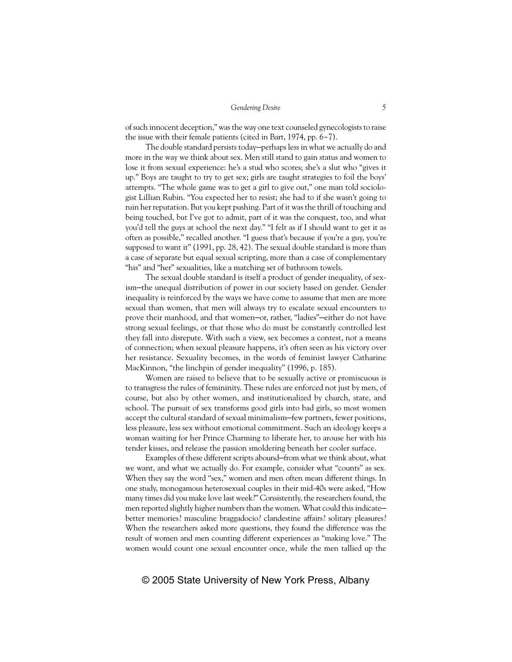of such innocent deception," was the way one text counseled gynecologists to raise the issue with their female patients (cited in Bart, 1974, pp. 6**–**7).

The double standard persists today**—**perhaps less in what we actually do and more in the way we think about sex. Men still stand to gain status and women to lose it from sexual experience: he's a stud who scores; she's a slut who "gives it up." Boys are taught to try to get sex; girls are taught strategies to foil the boys' attempts. "The whole game was to get a girl to give out," one man told sociologist Lillian Rubin. "You expected her to resist; she had to if she wasn't going to ruin her reputation. But you kept pushing. Part of it was the thrill of touching and being touched, but I've got to admit, part of it was the conquest, too, and what you'd tell the guys at school the next day." "I felt as if I should want to get it as often as possible," recalled another. "I guess that's because if you're a guy, you're supposed to want it" (1991, pp. 28, 42). The sexual double standard is more than a case of separate but equal sexual scripting, more than a case of complementary "his" and "her" sexualities, like a matching set of bathroom towels.

The sexual double standard is itself a product of gender inequality, of sexism**—**the unequal distribution of power in our society based on gender. Gender inequality is reinforced by the ways we have come to assume that men are more sexual than women, that men will always try to escalate sexual encounters to prove their manhood, and that women**—**or, rather, "ladies"**—**either do not have strong sexual feelings, or that those who do must be constantly controlled lest they fall into disrepute. With such a view, sex becomes a contest, not a means of connection; when sexual pleasure happens, it's often seen as his victory over her resistance. Sexuality becomes, in the words of feminist lawyer Catharine MacKinnon, "the linchpin of gender inequality" (1996, p. 185).

Women are raised to believe that to be sexually active or promiscuous is to transgress the rules of femininity. These rules are enforced not just by men, of course, but also by other women, and institutionalized by church, state, and school. The pursuit of sex transforms good girls into bad girls, so most women accept the cultural standard of sexual minimalism**—**few partners, fewer positions, less pleasure, less sex without emotional commitment. Such an ideology keeps a woman waiting for her Prince Charming to liberate her, to arouse her with his tender kisses, and release the passion smoldering beneath her cooler surface.

Examples of these different scripts abound**—**from what we think about, what we want, and what we actually do. For example, consider what "counts" as sex. When they say the word "sex," women and men often mean different things. In one study, monogamous heterosexual couples in their mid-40s were asked, "How many times did you make love last week?" Consistently, the researchers found, the men reported slightly higher numbers than the women. What could this indicate better memories? masculine braggadocio? clandestine affairs? solitary pleasures? When the researchers asked more questions, they found the difference was the result of women and men counting different experiences as "making love." The women would count one sexual encounter once, while the men tallied up the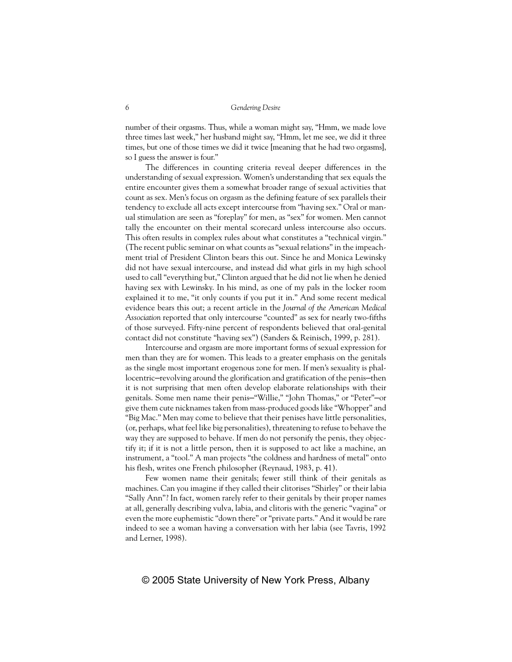number of their orgasms. Thus, while a woman might say, "Hmm, we made love three times last week," her husband might say, "Hmm, let me see, we did it three times, but one of those times we did it twice [meaning that he had two orgasms], so I guess the answer is four."

The differences in counting criteria reveal deeper differences in the understanding of sexual expression. Women's understanding that sex equals the entire encounter gives them a somewhat broader range of sexual activities that count as sex. Men's focus on orgasm as the defining feature of sex parallels their tendency to exclude all acts except intercourse from "having sex." Oral or manual stimulation are seen as "foreplay" for men, as "sex" for women. Men cannot tally the encounter on their mental scorecard unless intercourse also occurs. This often results in complex rules about what constitutes a "technical virgin." (The recent public seminar on what counts as "sexual relations" in the impeachment trial of President Clinton bears this out. Since he and Monica Lewinsky did not have sexual intercourse, and instead did what girls in my high school used to call "everything but," Clinton argued that he did not lie when he denied having sex with Lewinsky. In his mind, as one of my pals in the locker room explained it to me, "it only counts if you put it in." And some recent medical evidence bears this out; a recent article in the *Journal of the American Medical Association* reported that only intercourse "counted" as sex for nearly two-fifths of those surveyed. Fifty-nine percent of respondents believed that oral-genital contact did not constitute "having sex") (Sanders & Reinisch, 1999, p. 281).

Intercourse and orgasm are more important forms of sexual expression for men than they are for women. This leads to a greater emphasis on the genitals as the single most important erogenous zone for men. If men's sexuality is phallocentric**—**revolving around the glorification and gratification of the penis**—**then it is not surprising that men often develop elaborate relationships with their genitals. Some men name their penis**—**"Willie," "John Thomas," or "Peter"**—**or give them cute nicknames taken from mass-produced goods like "Whopper" and "Big Mac." Men may come to believe that their penises have little personalities, (or, perhaps, what feel like big personalities), threatening to refuse to behave the way they are supposed to behave. If men do not personify the penis, they objectify it; if it is not a little person, then it is supposed to act like a machine, an instrument, a "tool." A man projects "the coldness and hardness of metal" onto his flesh, writes one French philosopher (Reynaud, 1983, p. 41).

Few women name their genitals; fewer still think of their genitals as machines. Can you imagine if they called their clitorises "Shirley" or their labia "Sally Ann"? In fact, women rarely refer to their genitals by their proper names at all, generally describing vulva, labia, and clitoris with the generic "vagina" or even the more euphemistic "down there" or "private parts." And it would be rare indeed to see a woman having a conversation with her labia (see Tavris, 1992 and Lerner, 1998).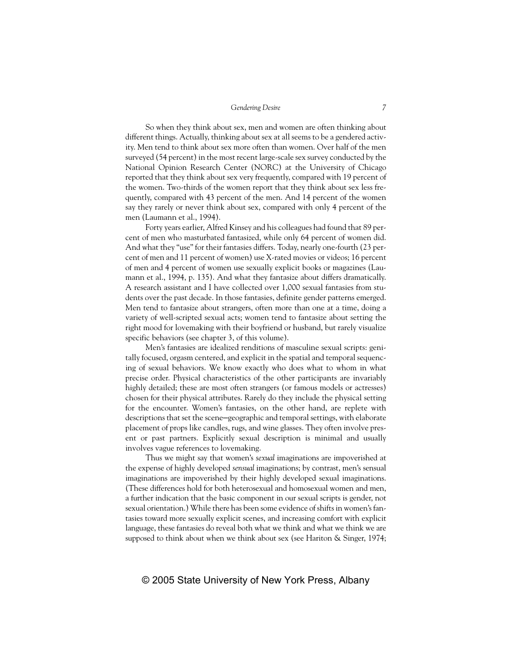So when they think about sex, men and women are often thinking about different things. Actually, thinking about sex at all seems to be a gendered activity. Men tend to think about sex more often than women. Over half of the men surveyed (54 percent) in the most recent large-scale sex survey conducted by the National Opinion Research Center (NORC) at the University of Chicago reported that they think about sex very frequently, compared with 19 percent of the women. Two-thirds of the women report that they think about sex less frequently, compared with 43 percent of the men. And 14 percent of the women say they rarely or never think about sex, compared with only 4 percent of the men (Laumann et al., 1994).

Forty years earlier, Alfred Kinsey and his colleagues had found that 89 percent of men who masturbated fantasized, while only 64 percent of women did. And what they "use" for their fantasies differs. Today, nearly one-fourth (23 percent of men and 11 percent of women) use X-rated movies or videos; 16 percent of men and 4 percent of women use sexually explicit books or magazines (Laumann et al., 1994, p. 135). And what they fantasize about differs dramatically. A research assistant and I have collected over 1,000 sexual fantasies from students over the past decade. In those fantasies, definite gender patterns emerged. Men tend to fantasize about strangers, often more than one at a time, doing a variety of well-scripted sexual acts; women tend to fantasize about setting the right mood for lovemaking with their boyfriend or husband, but rarely visualize specific behaviors (see chapter 3, of this volume).

Men's fantasies are idealized renditions of masculine sexual scripts: genitally focused, orgasm centered, and explicit in the spatial and temporal sequencing of sexual behaviors. We know exactly who does what to whom in what precise order. Physical characteristics of the other participants are invariably highly detailed; these are most often strangers (or famous models or actresses) chosen for their physical attributes. Rarely do they include the physical setting for the encounter. Women's fantasies, on the other hand, are replete with descriptions that set the scene**—**geographic and temporal settings, with elaborate placement of props like candles, rugs, and wine glasses. They often involve present or past partners. Explicitly sexual description is minimal and usually involves vague references to lovemaking.

Thus we might say that women's *sexual* imaginations are impoverished at the expense of highly developed *sensual* imaginations; by contrast, men's sensual imaginations are impoverished by their highly developed sexual imaginations. (These differences hold for both heterosexual and homosexual women and men, a further indication that the basic component in our sexual scripts is gender, not sexual orientation.) While there has been some evidence of shifts in women's fantasies toward more sexually explicit scenes, and increasing comfort with explicit language, these fantasies do reveal both what we think and what we think we are supposed to think about when we think about sex (see Hariton & Singer, 1974;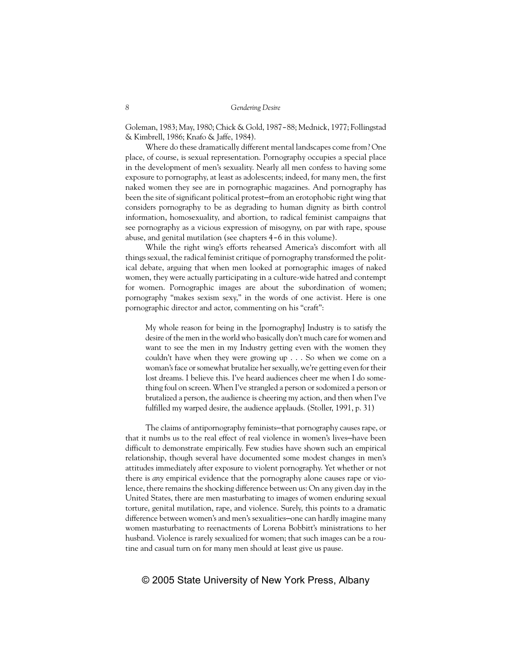Goleman, 1983; May, 1980; Chick & Gold, 1987**–**88; Mednick, 1977; Follingstad & Kimbrell, 1986; Knafo & Jaffe, 1984).

Where do these dramatically different mental landscapes come from? One place, of course, is sexual representation. Pornography occupies a special place in the development of men's sexuality. Nearly all men confess to having some exposure to pornography, at least as adolescents; indeed, for many men, the first naked women they see are in pornographic magazines. And pornography has been the site of significant political protest**—**from an erotophobic right wing that considers pornography to be as degrading to human dignity as birth control information, homosexuality, and abortion, to radical feminist campaigns that see pornography as a vicious expression of misogyny, on par with rape, spouse abuse, and genital mutilation (see chapters 4**–**6 in this volume).

While the right wing's efforts rehearsed America's discomfort with all things sexual, the radical feminist critique of pornography transformed the political debate, arguing that when men looked at pornographic images of naked women, they were actually participating in a culture-wide hatred and contempt for women. Pornographic images are about the subordination of women; pornography "makes sexism sexy," in the words of one activist. Here is one pornographic director and actor, commenting on his "craft":

My whole reason for being in the [pornography] Industry is to satisfy the desire of the men in the world who basically don't much care for women and want to see the men in my Industry getting even with the women they couldn't have when they were growing up . . . So when we come on a woman's face or somewhat brutalize her sexually, we're getting even for their lost dreams. I believe this. I've heard audiences cheer me when I do something foul on screen. When I've strangled a person or sodomized a person or brutalized a person, the audience is cheering my action, and then when I've fulfilled my warped desire, the audience applauds. (Stoller, 1991, p. 31)

The claims of antipornography feminists**—**that pornography causes rape, or that it numbs us to the real effect of real violence in women's lives**—**have been difficult to demonstrate empirically. Few studies have shown such an empirical relationship, though several have documented some modest changes in men's attitudes immediately after exposure to violent pornography. Yet whether or not there is *any* empirical evidence that the pornography alone causes rape or violence, there remains the shocking difference between us: On any given day in the United States, there are men masturbating to images of women enduring sexual torture, genital mutilation, rape, and violence. Surely, this points to a dramatic difference between women's and men's sexualities**—**one can hardly imagine many women masturbating to reenactments of Lorena Bobbitt's ministrations to her husband. Violence is rarely sexualized for women; that such images can be a routine and casual turn on for many men should at least give us pause.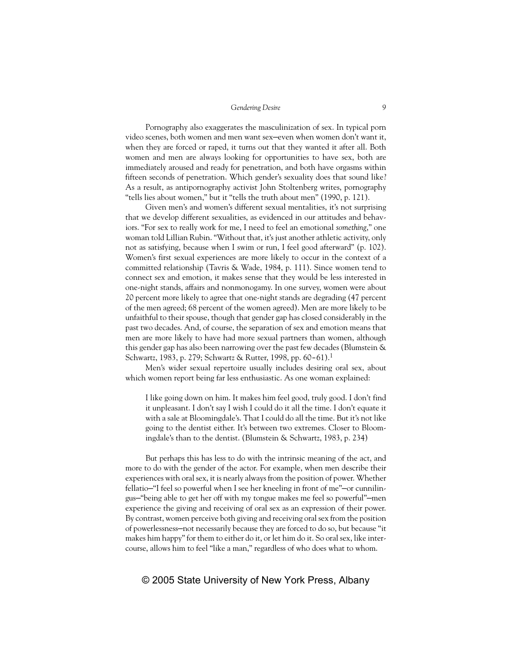Pornography also exaggerates the masculinization of sex. In typical porn video scenes, both women and men want sex**—**even when women don't want it, when they are forced or raped, it turns out that they wanted it after all. Both women and men are always looking for opportunities to have sex, both are immediately aroused and ready for penetration, and both have orgasms within fifteen seconds of penetration. Which gender's sexuality does that sound like? As a result, as antipornography activist John Stoltenberg writes, pornography "tells lies about women," but it "tells the truth about men" (1990, p. 121).

Given men's and women's different sexual mentalities, it's not surprising that we develop different sexualities, as evidenced in our attitudes and behaviors. "For sex to really work for me, I need to feel an emotional *something*," one woman told Lillian Rubin. "Without that, it's just another athletic activity, only not as satisfying, because when I swim or run, I feel good afterward" (p. 102). Women's first sexual experiences are more likely to occur in the context of a committed relationship (Tavris & Wade, 1984, p. 111). Since women tend to connect sex and emotion, it makes sense that they would be less interested in one-night stands, affairs and nonmonogamy. In one survey, women were about 20 percent more likely to agree that one-night stands are degrading (47 percent of the men agreed; 68 percent of the women agreed). Men are more likely to be unfaithful to their spouse, though that gender gap has closed considerably in the past two decades. And, of course, the separation of sex and emotion means that men are more likely to have had more sexual partners than women, although this gender gap has also been narrowing over the past few decades (Blumstein & Schwartz, 1983, p. 279; Schwartz & Rutter, 1998, pp. 60**–**61).1

Men's wider sexual repertoire usually includes desiring oral sex, about which women report being far less enthusiastic. As one woman explained:

I like going down on him. It makes him feel good, truly good. I don't find it unpleasant. I don't say I wish I could do it all the time. I don't equate it with a sale at Bloomingdale's. That I could do all the time. But it's not like going to the dentist either. It's between two extremes. Closer to Bloomingdale's than to the dentist. (Blumstein & Schwartz, 1983, p. 234)

But perhaps this has less to do with the intrinsic meaning of the act, and more to do with the gender of the actor. For example, when men describe their experiences with oral sex, it is nearly always from the position of power. Whether fellatio**—**"I feel so powerful when I see her kneeling in front of me"**—**or cunnilingus**—**"being able to get her off with my tongue makes me feel so powerful"**—**men experience the giving and receiving of oral sex as an expression of their power. By contrast, women perceive both giving and receiving oral sex from the position of powerlessness**—**not necessarily because they are forced to do so, but because "it makes him happy" for them to either do it, or let him do it. So oral sex, like intercourse, allows him to feel "like a man," regardless of who does what to whom.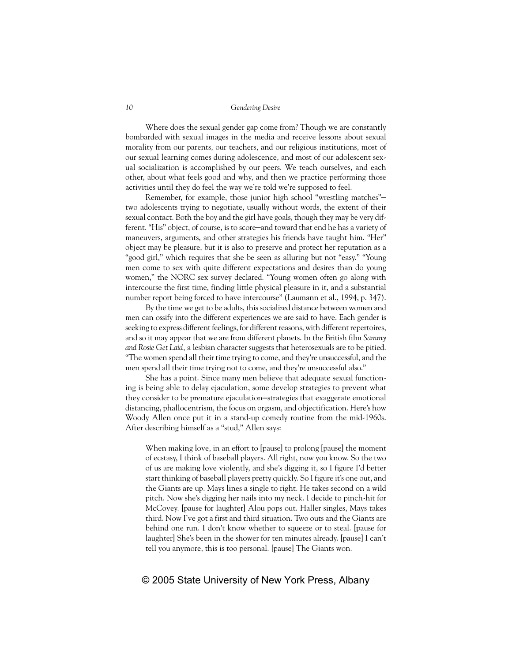Where does the sexual gender gap come from? Though we are constantly bombarded with sexual images in the media and receive lessons about sexual morality from our parents, our teachers, and our religious institutions, most of our sexual learning comes during adolescence, and most of our adolescent sexual socialization is accomplished by our peers. We teach ourselves, and each other, about what feels good and why, and then we practice performing those activities until they do feel the way we're told we're supposed to feel.

Remember, for example, those junior high school "wrestling matches" two adolescents trying to negotiate, usually without words, the extent of their sexual contact. Both the boy and the girl have goals, though they may be very different. "His" object, of course, is to score**—**and toward that end he has a variety of maneuvers, arguments, and other strategies his friends have taught him. "Her" object may be pleasure, but it is also to preserve and protect her reputation as a "good girl," which requires that she be seen as alluring but not "easy." "Young men come to sex with quite different expectations and desires than do young women," the NORC sex survey declared. "Young women often go along with intercourse the first time, finding little physical pleasure in it, and a substantial number report being forced to have intercourse" (Laumann et al., 1994, p. 347).

By the time we get to be adults, this socialized distance between women and men can ossify into the different experiences we are said to have. Each gender is seeking to express different feelings, for different reasons, with different repertoires, and so it may appear that we are from different planets. In the British film *Sammy and Rosie Get Laid,* a lesbian character suggests that heterosexuals are to be pitied. "The women spend all their time trying to come, and they're unsuccessful, and the men spend all their time trying not to come, and they're unsuccessful also."

She has a point. Since many men believe that adequate sexual functioning is being able to delay ejaculation, some develop strategies to prevent what they consider to be premature ejaculation**—**strategies that exaggerate emotional distancing, phallocentrism, the focus on orgasm, and objectification. Here's how Woody Allen once put it in a stand-up comedy routine from the mid-1960s. After describing himself as a "stud," Allen says:

When making love, in an effort to [pause] to prolong [pause] the moment of ecstasy, I think of baseball players. All right, now you know. So the two of us are making love violently, and she's digging it, so I figure I'd better start thinking of baseball players pretty quickly. So I figure it's one out, and the Giants are up. Mays lines a single to right. He takes second on a wild pitch. Now she's digging her nails into my neck. I decide to pinch-hit for McCovey. [pause for laughter] Alou pops out. Haller singles, Mays takes third. Now I've got a first and third situation. Two outs and the Giants are behind one run. I don't know whether to squeeze or to steal. [pause for laughter] She's been in the shower for ten minutes already. [pause] I can't tell you anymore, this is too personal. [pause] The Giants won.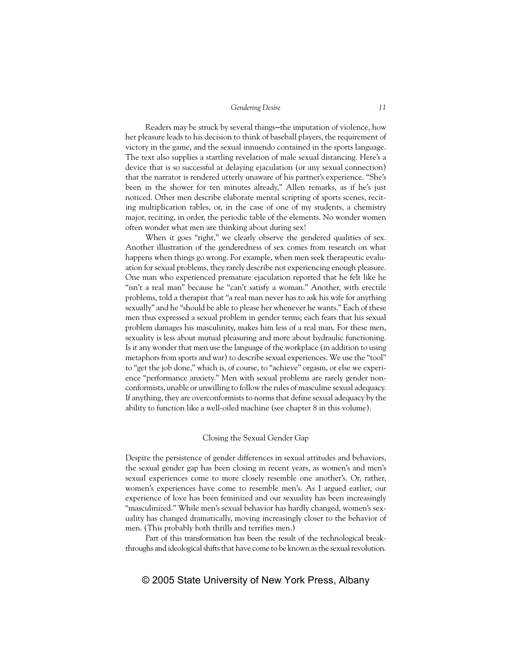Readers may be struck by several things**—**the imputation of violence, how her pleasure leads to his decision to think of baseball players, the requirement of victory in the game, and the sexual innuendo contained in the sports language. The text also supplies a startling revelation of male sexual distancing. Here's a device that is so successful at delaying ejaculation (or any sexual connection) that the narrator is rendered utterly unaware of his partner's experience. "She's been in the shower for ten minutes already," Allen remarks, as if he's just noticed. Other men describe elaborate mental scripting of sports scenes, reciting multiplication tables, or, in the case of one of my students, a chemistry major, reciting, in order, the periodic table of the elements. No wonder women often wonder what men are thinking about during sex!

When it goes "right," we clearly observe the gendered qualities of sex. Another illustration of the genderedness of sex comes from research on what happens when things go wrong. For example, when men seek therapeutic evaluation for sexual problems, they rarely describe not experiencing enough pleasure. One man who experienced premature ejaculation reported that he felt like he "isn't a real man" because he "can't satisfy a woman." Another, with erectile problems, told a therapist that "a real man never has to ask his wife for anything sexually" and he "should be able to please her whenever he wants." Each of these men thus expressed a sexual problem in gender terms; each fears that his sexual problem damages his masculinity, makes him less of a real man. For these men, sexuality is less about mutual pleasuring and more about hydraulic functioning. Is it any wonder that men use the language of the workplace (in addition to using metaphors from sports and war) to describe sexual experiences. We use the "tool" to "get the job done," which is, of course, to "achieve" orgasm, or else we experience "performance anxiety." Men with sexual problems are rarely gender nonconformists, unable or unwilling to follow the rules of masculine sexual adequacy. If anything, they are overconformists to norms that define sexual adequacy by the ability to function like a well-oiled machine (see chapter 8 in this volume).

## Closing the Sexual Gender Gap

Despite the persistence of gender differences in sexual attitudes and behaviors, the sexual gender gap has been closing in recent years, as women's and men's sexual experiences come to more closely resemble one another's. Or, rather, women's experiences have come to resemble men's. As I argued earlier, our experience of love has been feminized and our sexuality has been increasingly "masculinized." While men's sexual behavior has hardly changed, women's sexuality has changed dramatically, moving increasingly closer to the behavior of men. (This probably both thrills and terrifies men.)

Part of this transformation has been the result of the technological breakthroughs and ideological shifts that have come to be known as the sexual revolution.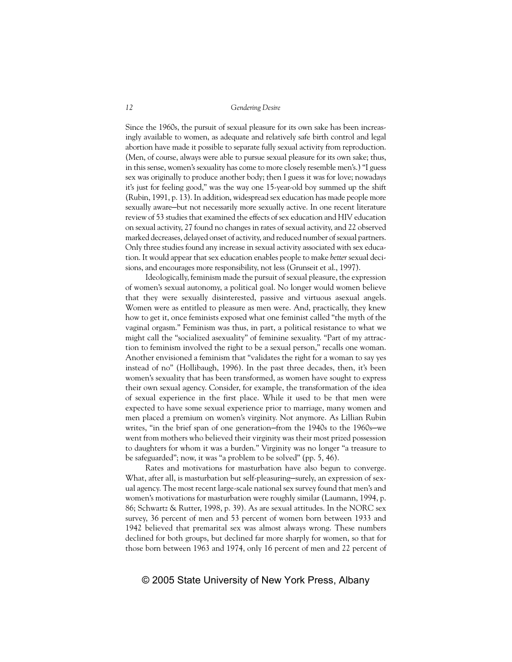Since the 1960s, the pursuit of sexual pleasure for its own sake has been increasingly available to women, as adequate and relatively safe birth control and legal abortion have made it possible to separate fully sexual activity from reproduction. (Men, of course, always were able to pursue sexual pleasure for its own sake; thus, in this sense, women's sexuality has come to more closely resemble men's.) "I guess sex was originally to produce another body; then I guess it was for love; nowadays it's just for feeling good," was the way one 15-year-old boy summed up the shift (Rubin, 1991, p. 13). In addition, widespread sex education has made people more sexually aware**—**but not necessarily more sexually active. In one recent literature review of 53 studies that examined the effects of sex education and HIV education on sexual activity, 27 found no changes in rates of sexual activity, and 22 observed marked decreases, delayed onset of activity, and reduced number of sexual partners. Only three studies found any increase in sexual activity associated with sex education. It would appear that sex education enables people to make *better* sexual decisions, and encourages more responsibility, not less (Grunseit et al., 1997).

Ideologically, feminism made the pursuit of sexual pleasure, the expression of women's sexual autonomy, a political goal. No longer would women believe that they were sexually disinterested, passive and virtuous asexual angels. Women were as entitled to pleasure as men were. And, practically, they knew how to get it, once feminists exposed what one feminist called "the myth of the vaginal orgasm." Feminism was thus, in part, a political resistance to what we might call the "socialized asexuality" of feminine sexuality. "Part of my attraction to feminism involved the right to be a sexual person," recalls one woman. Another envisioned a feminism that "validates the right for a woman to say yes instead of no" (Hollibaugh, 1996). In the past three decades, then, it's been women's sexuality that has been transformed, as women have sought to express their own sexual agency. Consider, for example, the transformation of the idea of sexual experience in the first place. While it used to be that men were expected to have some sexual experience prior to marriage, many women and men placed a premium on women's virginity. Not anymore. As Lillian Rubin writes, "in the brief span of one generation**—**from the 1940s to the 1960s**—**we went from mothers who believed their virginity was their most prized possession to daughters for whom it was a burden." Virginity was no longer "a treasure to be safeguarded"; now, it was "a problem to be solved" (pp. 5, 46).

Rates and motivations for masturbation have also begun to converge. What, after all, is masturbation but self-pleasuring-surely, an expression of sexual agency. The most recent large-scale national sex survey found that men's and women's motivations for masturbation were roughly similar (Laumann, 1994, p. 86; Schwartz & Rutter, 1998, p. 39). As are sexual attitudes. In the NORC sex survey, 36 percent of men and 53 percent of women born between 1933 and 1942 believed that premarital sex was almost always wrong. These numbers declined for both groups, but declined far more sharply for women, so that for those born between 1963 and 1974, only 16 percent of men and 22 percent of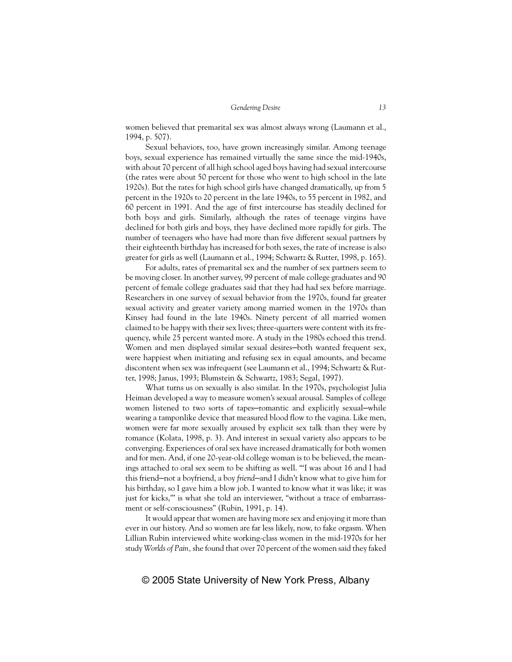women believed that premarital sex was almost always wrong (Laumann et al., 1994, p. 507).

Sexual behaviors, too, have grown increasingly similar. Among teenage boys, sexual experience has remained virtually the same since the mid-1940s, with about 70 percent of all high school aged boys having had sexual intercourse (the rates were about 50 percent for those who went to high school in the late 1920s). But the rates for high school girls have changed dramatically, up from 5 percent in the 1920s to 20 percent in the late 1940s, to 55 percent in 1982, and 60 percent in 1991. And the age of first intercourse has steadily declined for both boys and girls. Similarly, although the rates of teenage virgins have declined for both girls and boys, they have declined more rapidly for girls. The number of teenagers who have had more than five different sexual partners by their eighteenth birthday has increased for both sexes, the rate of increase is also greater for girls as well (Laumann et al., 1994; Schwartz & Rutter, 1998, p. 165).

For adults, rates of premarital sex and the number of sex partners seem to be moving closer. In another survey, 99 percent of male college graduates and 90 percent of female college graduates said that they had had sex before marriage. Researchers in one survey of sexual behavior from the 1970s, found far greater sexual activity and greater variety among married women in the 1970s than Kinsey had found in the late 1940s. Ninety percent of all married women claimed to be happy with their sex lives; three-quarters were content with its frequency, while 25 percent wanted more. A study in the 1980s echoed this trend. Women and men displayed similar sexual desires**—**both wanted frequent sex, were happiest when initiating and refusing sex in equal amounts, and became discontent when sex was infrequent (see Laumann et al., 1994; Schwartz & Rutter, 1998; Janus, 1993; Blumstein & Schwartz, 1983; Segal, 1997).

What turns us on sexually is also similar. In the 1970s, psychologist Julia Heiman developed a way to measure women's sexual arousal. Samples of college women listened to two sorts of tapes**—**romantic and explicitly sexual**—**while wearing a tamponlike device that measured blood flow to the vagina. Like men, women were far more sexually aroused by explicit sex talk than they were by romance (Kolata, 1998, p. 3). And interest in sexual variety also appears to be converging. Experiences of oral sex have increased dramatically for both women and for men. And, if one 20-year-old college woman is to be believed, the meanings attached to oral sex seem to be shifting as well. "'I was about 16 and I had this friend**—**not a boyfriend, a boy *friend***—**and I didn't know what to give him for his birthday, so I gave him a blow job. I wanted to know what it was like; it was just for kicks,'" is what she told an interviewer, "without a trace of embarrassment or self-consciousness" (Rubin, 1991, p. 14).

It would appear that women are having more sex and enjoying it more than ever in our history. And so women are far less likely, now, to fake orgasm. When Lillian Rubin interviewed white working-class women in the mid-1970s for her study *Worlds of Pain,* she found that over 70 percent of the women said they faked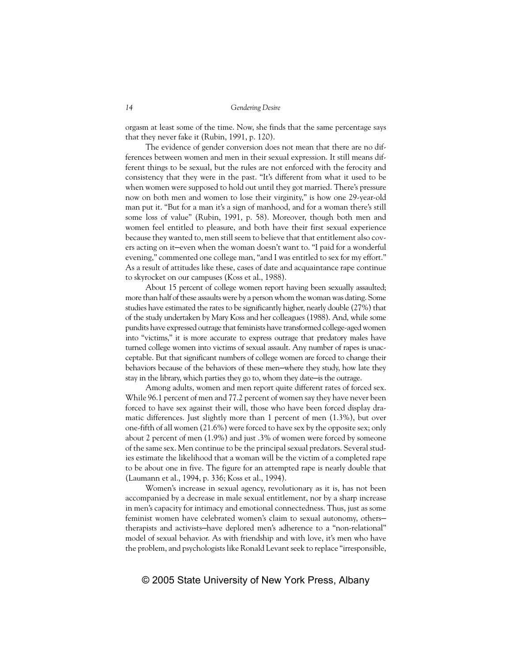orgasm at least some of the time. Now, she finds that the same percentage says that they never fake it (Rubin, 1991, p. 120).

The evidence of gender conversion does not mean that there are no differences between women and men in their sexual expression. It still means different things to be sexual, but the rules are not enforced with the ferocity and consistency that they were in the past. "It's different from what it used to be when women were supposed to hold out until they got married. There's pressure now on both men and women to lose their virginity," is how one 29-year-old man put it. "But for a man it's a sign of manhood, and for a woman there's still some loss of value" (Rubin, 1991, p. 58). Moreover, though both men and women feel entitled to pleasure, and both have their first sexual experience because they wanted to, men still seem to believe that that entitlement also covers acting on it**—**even when the woman doesn't want to. "I paid for a wonderful evening," commented one college man, "and I was entitled to sex for my effort." As a result of attitudes like these, cases of date and acquaintance rape continue to skyrocket on our campuses (Koss et al., 1988).

About 15 percent of college women report having been sexually assaulted; more than half of these assaults were by a person whom the woman was dating. Some studies have estimated the rates to be significantly higher, nearly double (27%) that of the study undertaken by Mary Koss and her colleagues (1988). And, while some pundits have expressed outrage that feminists have transformed college-aged women into "victims," it is more accurate to express outrage that predatory males have turned college women into victims of sexual assault. Any number of rapes is unacceptable. But that significant numbers of college women are forced to change their behaviors because of the behaviors of these men**—**where they study, how late they stay in the library, which parties they go to, whom they date**—**is the outrage.

Among adults, women and men report quite different rates of forced sex. While 96.1 percent of men and 77.2 percent of women say they have never been forced to have sex against their will, those who have been forced display dramatic differences. Just slightly more than 1 percent of men (1.3%), but over one-fifth of all women (21.6%) were forced to have sex by the opposite sex; only about 2 percent of men (1.9%) and just .3% of women were forced by someone of the same sex. Men continue to be the principal sexual predators. Several studies estimate the likelihood that a woman will be the victim of a completed rape to be about one in five. The figure for an attempted rape is nearly double that (Laumann et al., 1994, p. 336; Koss et al., 1994).

Women's increase in sexual agency, revolutionary as it is, has not been accompanied by a decrease in male sexual entitlement, nor by a sharp increase in men's capacity for intimacy and emotional connectedness. Thus, just as some feminist women have celebrated women's claim to sexual autonomy, others therapists and activists**—**have deplored men's adherence to a "non-relational" model of sexual behavior. As with friendship and with love, it's men who have the problem, and psychologists like Ronald Levant seek to replace "irresponsible,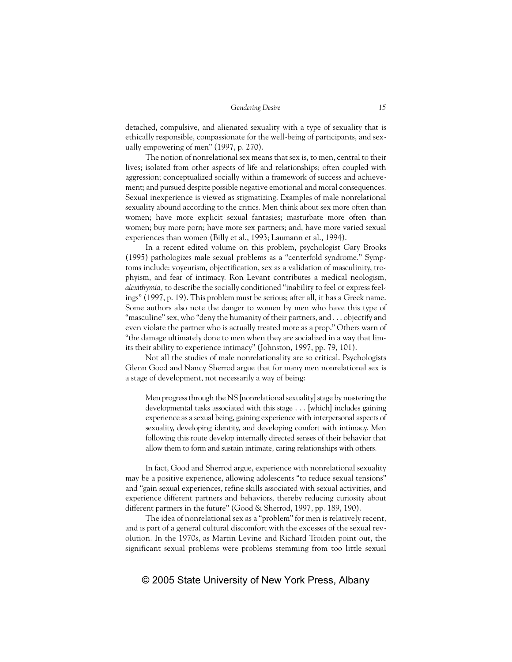detached, compulsive, and alienated sexuality with a type of sexuality that is ethically responsible, compassionate for the well-being of participants, and sexually empowering of men" (1997, p. 270).

The notion of nonrelational sex means that sex is, to men, central to their lives; isolated from other aspects of life and relationships; often coupled with aggression; conceptualized socially within a framework of success and achievement; and pursued despite possible negative emotional and moral consequences. Sexual inexperience is viewed as stigmatizing. Examples of male nonrelational sexuality abound according to the critics. Men think about sex more often than women; have more explicit sexual fantasies; masturbate more often than women; buy more porn; have more sex partners; and, have more varied sexual experiences than women (Billy et al., 1993; Laumann et al., 1994).

In a recent edited volume on this problem, psychologist Gary Brooks (1995) pathologizes male sexual problems as a "centerfold syndrome." Symptoms include: voyeurism, objectification, sex as a validation of masculinity, trophyism, and fear of intimacy. Ron Levant contributes a medical neologism, *alexithymia,* to describe the socially conditioned "inability to feel or express feelings" (1997, p. 19). This problem must be serious; after all, it has a Greek name. Some authors also note the danger to women by men who have this type of "masculine" sex, who "deny the humanity of their partners, and . . . objectify and even violate the partner who is actually treated more as a prop." Others warn of "the damage ultimately done to men when they are socialized in a way that limits their ability to experience intimacy" (Johnston, 1997, pp. 79, 101).

Not all the studies of male nonrelationality are so critical. Psychologists Glenn Good and Nancy Sherrod argue that for many men nonrelational sex is a stage of development, not necessarily a way of being:

Men progress through the NS [nonrelational sexuality] stage by mastering the developmental tasks associated with this stage . . . [which] includes gaining experience as a sexual being, gaining experience with interpersonal aspects of sexuality, developing identity, and developing comfort with intimacy. Men following this route develop internally directed senses of their behavior that allow them to form and sustain intimate, caring relationships with others.

In fact, Good and Sherrod argue, experience with nonrelational sexuality may be a positive experience, allowing adolescents "to reduce sexual tensions" and "gain sexual experiences, refine skills associated with sexual activities, and experience different partners and behaviors, thereby reducing curiosity about different partners in the future" (Good & Sherrod, 1997, pp. 189, 190).

The idea of nonrelational sex as a "problem" for men is relatively recent, and is part of a general cultural discomfort with the excesses of the sexual revolution. In the 1970s, as Martin Levine and Richard Troiden point out, the significant sexual problems were problems stemming from too little sexual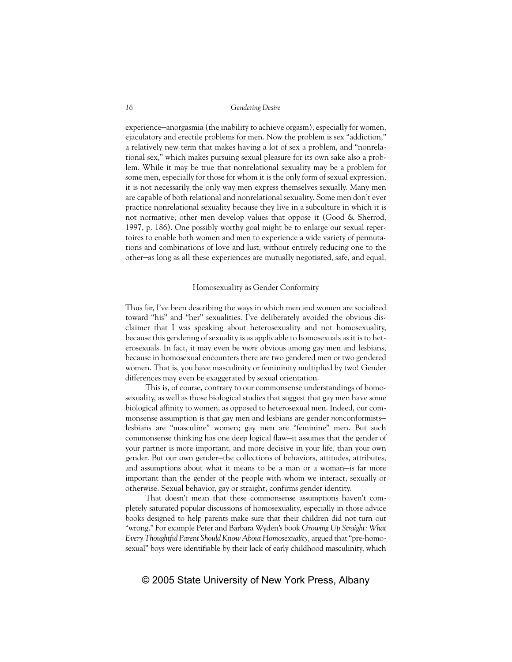experience**—**anorgasmia (the inability to achieve orgasm), especially for women, ejaculatory and erectile problems for men. Now the problem is sex "addiction," a relatively new term that makes having a lot of sex a problem, and "nonrelational sex," which makes pursuing sexual pleasure for its own sake also a problem. While it may be true that nonrelational sexuality may be a problem for some men, especially for those for whom it is the only form of sexual expression, it is not necessarily the only way men express themselves sexually. Many men are capable of both relational and nonrelational sexuality. Some men don't ever practice nonrelational sexuality because they live in a subculture in which it is not normative; other men develop values that oppose it (Good & Sherrod, 1997, p. 186). One possibly worthy goal might be to enlarge our sexual repertoires to enable both women and men to experience a wide variety of permutations and combinations of love and lust, without entirely reducing one to the other**—**as long as all these experiences are mutually negotiated, safe, and equal.

### Homosexuality as Gender Conformity

Thus far, I've been describing the ways in which men and women are socialized toward "his" and "her" sexualities. I've deliberately avoided the obvious disclaimer that I was speaking about heterosexuality and not homosexuality, because this gendering of sexuality is as applicable to homosexuals as it is to heterosexuals. In fact, it may even be *more* obvious among gay men and lesbians, because in homosexual encounters there are two gendered men or two gendered women. That is, you have masculinity or femininity multiplied by two! Gender differences may even be exaggerated by sexual orientation.

This is, of course, contrary to our commonsense understandings of homosexuality, as well as those biological studies that suggest that gay men have some biological affinity to women, as opposed to heterosexual men. Indeed, our commonsense assumption is that gay men and lesbians are gender *non*conformists lesbians are "masculine" women; gay men are "feminine" men. But such commonsense thinking has one deep logical flaw**—**it assumes that the gender of your partner is more important, and more decisive in your life, than your own gender. But our own gender**—**the collections of behaviors, attitudes, attributes, and assumptions about what it means to be a man or a woman**—**is far more important than the gender of the people with whom we interact, sexually or otherwise. Sexual behavior, gay or straight, confirms gender identity.

That doesn't mean that these commonsense assumptions haven't completely saturated popular discussions of homosexuality, especially in those advice books designed to help parents make sure that their children did not turn out "wrong." For example Peter and Barbara Wyden's book *Growing Up Straight: What Every Thoughtful Parent Should Know About Homosexuality,* argued that "pre-homosexual" boys were identifiable by their lack of early childhood masculinity, which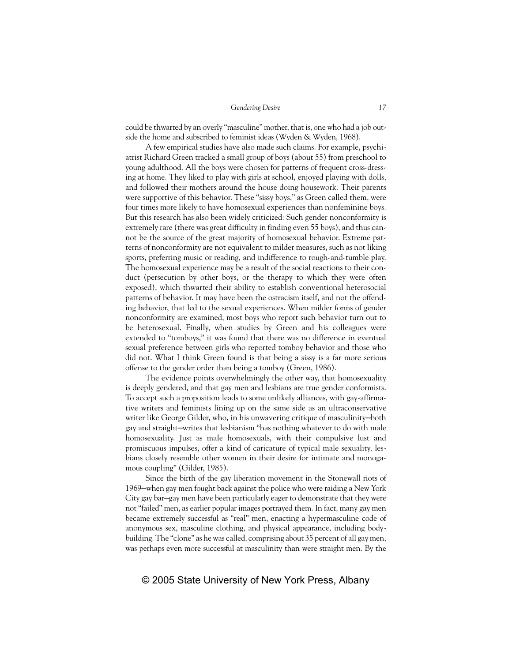could be thwarted by an overly "masculine" mother, that is, one who had a job outside the home and subscribed to feminist ideas (Wyden & Wyden, 1968).

A few empirical studies have also made such claims. For example, psychiatrist Richard Green tracked a small group of boys (about 55) from preschool to young adulthood. All the boys were chosen for patterns of frequent cross-dressing at home. They liked to play with girls at school, enjoyed playing with dolls, and followed their mothers around the house doing housework. Their parents were supportive of this behavior. These "sissy boys," as Green called them, were four times more likely to have homosexual experiences than nonfeminine boys. But this research has also been widely criticized: Such gender nonconformity is extremely rare (there was great difficulty in finding even 55 boys), and thus cannot be the source of the great majority of homosexual behavior. Extreme patterns of nonconformity are not equivalent to milder measures, such as not liking sports, preferring music or reading, and indifference to rough-and-tumble play. The homosexual experience may be a result of the social reactions to their conduct (persecution by other boys, or the therapy to which they were often exposed), which thwarted their ability to establish conventional heterosocial patterns of behavior. It may have been the ostracism itself, and not the offending behavior, that led to the sexual experiences. When milder forms of gender nonconformity are examined, most boys who report such behavior turn out to be heterosexual. Finally, when studies by Green and his colleagues were extended to "tomboys," it was found that there was no difference in eventual sexual preference between girls who reported tomboy behavior and those who did not. What I think Green found is that being a sissy is a far more serious offense to the gender order than being a tomboy (Green, 1986).

The evidence points overwhelmingly the other way, that homosexuality is deeply gendered, and that gay men and lesbians are true gender conformists. To accept such a proposition leads to some unlikely alliances, with gay-affirmative writers and feminists lining up on the same side as an ultraconservative writer like George Gilder, who, in his unwavering critique of masculinity**—**both gay and straight**—**writes that lesbianism "has nothing whatever to do with male homosexuality. Just as male homosexuals, with their compulsive lust and promiscuous impulses, offer a kind of caricature of typical male sexuality, lesbians closely resemble other women in their desire for intimate and monogamous coupling" (Gilder, 1985).

Since the birth of the gay liberation movement in the Stonewall riots of 1969**—**when gay men fought back against the police who were raiding a New York City gay bar**—**gay men have been particularly eager to demonstrate that they were not "failed" men, as earlier popular images portrayed them. In fact, many gay men became extremely successful as "real" men, enacting a hypermasculine code of anonymous sex, masculine clothing, and physical appearance, including bodybuilding. The "clone" as he was called, comprising about 35 percent of all gay men, was perhaps even more successful at masculinity than were straight men. By the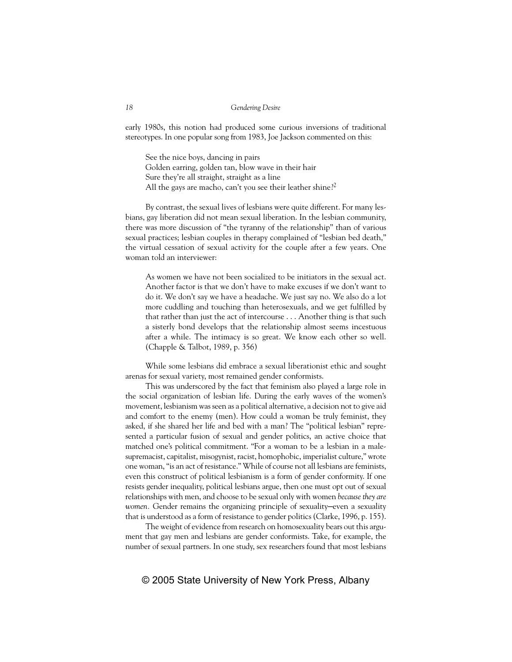early 1980s, this notion had produced some curious inversions of traditional stereotypes. In one popular song from 1983, Joe Jackson commented on this:

See the nice boys, dancing in pairs Golden earring, golden tan, blow wave in their hair Sure they're all straight, straight as a line All the gays are macho, can't you see their leather shine?<sup>2</sup>

By contrast, the sexual lives of lesbians were quite different. For many lesbians, gay liberation did not mean sexual liberation. In the lesbian community, there was more discussion of "the tyranny of the relationship" than of various sexual practices; lesbian couples in therapy complained of "lesbian bed death," the virtual cessation of sexual activity for the couple after a few years. One woman told an interviewer:

As women we have not been socialized to be initiators in the sexual act. Another factor is that we don't have to make excuses if we don't want to do it. We don't say we have a headache. We just say no. We also do a lot more cuddling and touching than heterosexuals, and we get fulfilled by that rather than just the act of intercourse . . . Another thing is that such a sisterly bond develops that the relationship almost seems incestuous after a while. The intimacy is so great. We know each other so well. (Chapple & Talbot, 1989, p. 356)

While some lesbians did embrace a sexual liberationist ethic and sought arenas for sexual variety, most remained gender conformists.

This was underscored by the fact that feminism also played a large role in the social organization of lesbian life. During the early waves of the women's movement, lesbianism was seen as a political alternative, a decision not to give aid and comfort to the enemy (men). How could a woman be truly feminist, they asked, if she shared her life and bed with a man? The "political lesbian" represented a particular fusion of sexual and gender politics, an active choice that matched one's political commitment. "For a woman to be a lesbian in a malesupremacist, capitalist, misogynist, racist, homophobic, imperialist culture," wrote one woman, "is an act of resistance." While of course not all lesbians are feminists, even this construct of political lesbianism is a form of gender conformity. If one resists gender inequality, political lesbians argue, then one must opt out of sexual relationships with men, and choose to be sexual only with women *because they are women.* Gender remains the organizing principle of sexuality**—**even a sexuality that is understood as a form of resistance to gender politics (Clarke, 1996, p. 155).

The weight of evidence from research on homosexuality bears out this argument that gay men and lesbians are gender conformists. Take, for example, the number of sexual partners. In one study, sex researchers found that most lesbians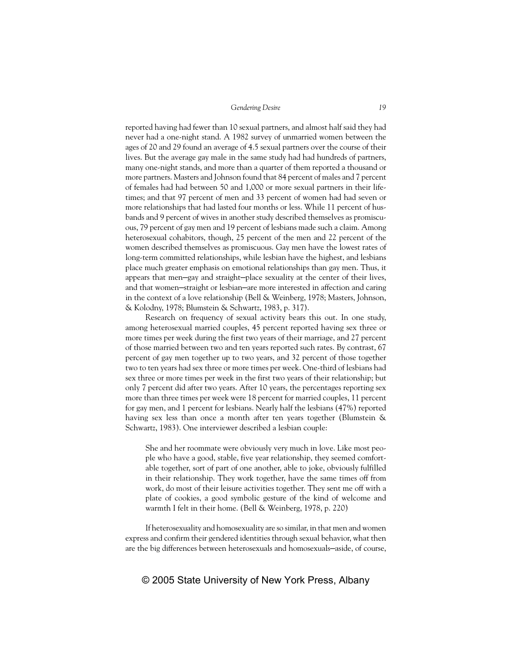reported having had fewer than 10 sexual partners, and almost half said they had never had a one-night stand. A 1982 survey of unmarried women between the ages of 20 and 29 found an average of 4.5 sexual partners over the course of their lives. But the average gay male in the same study had had hundreds of partners, many one-night stands, and more than a quarter of them reported a thousand or more partners. Masters and Johnson found that 84 percent of males and 7 percent of females had had between 50 and 1,000 or more sexual partners in their lifetimes; and that 97 percent of men and 33 percent of women had had seven or more relationships that had lasted four months or less. While 11 percent of husbands and 9 percent of wives in another study described themselves as promiscuous, 79 percent of gay men and 19 percent of lesbians made such a claim. Among heterosexual cohabitors, though, 25 percent of the men and 22 percent of the women described themselves as promiscuous. Gay men have the lowest rates of long-term committed relationships, while lesbian have the highest, and lesbians place much greater emphasis on emotional relationships than gay men. Thus, it appears that men**—**gay and straight**—**place sexuality at the center of their lives, and that women**—**straight or lesbian**—**are more interested in affection and caring in the context of a love relationship (Bell & Weinberg, 1978; Masters, Johnson, & Kolodny, 1978; Blumstein & Schwartz, 1983, p. 317).

Research on frequency of sexual activity bears this out. In one study, among heterosexual married couples, 45 percent reported having sex three or more times per week during the first two years of their marriage, and 27 percent of those married between two and ten years reported such rates. By contrast, 67 percent of gay men together up to two years, and 32 percent of those together two to ten years had sex three or more times per week. One-third of lesbians had sex three or more times per week in the first two years of their relationship; but only 7 percent did after two years. After 10 years, the percentages reporting sex more than three times per week were 18 percent for married couples, 11 percent for gay men, and 1 percent for lesbians. Nearly half the lesbians (47%) reported having sex less than once a month after ten years together (Blumstein & Schwartz, 1983). One interviewer described a lesbian couple:

She and her roommate were obviously very much in love. Like most people who have a good, stable, five year relationship, they seemed comfortable together, sort of part of one another, able to joke, obviously fulfilled in their relationship. They work together, have the same times off from work, do most of their leisure activities together. They sent me off with a plate of cookies, a good symbolic gesture of the kind of welcome and warmth I felt in their home. (Bell & Weinberg, 1978, p. 220)

If heterosexuality and homosexuality are so similar, in that men and women express and confirm their gendered identities through sexual behavior, what then are the big differences between heterosexuals and homosexuals**—**aside, of course,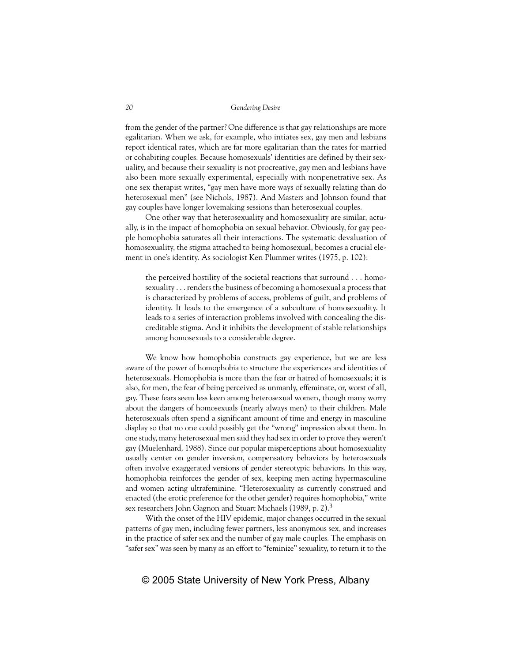from the gender of the partner? One difference is that gay relationships are more egalitarian. When we ask, for example, who intiates sex, gay men and lesbians report identical rates, which are far more egalitarian than the rates for married or cohabiting couples. Because homosexuals' identities are defined by their sexuality, and because their sexuality is not procreative, gay men and lesbians have also been more sexually experimental, especially with nonpenetrative sex. As one sex therapist writes, "gay men have more ways of sexually relating than do heterosexual men" (see Nichols, 1987). And Masters and Johnson found that gay couples have longer lovemaking sessions than heterosexual couples.

One other way that heterosexuality and homosexuality are similar, actually, is in the impact of homophobia on sexual behavior. Obviously, for gay people homophobia saturates all their interactions. The systematic devaluation of homosexuality, the stigma attached to being homosexual, becomes a crucial element in one's identity. As sociologist Ken Plummer writes (1975, p. 102):

the perceived hostility of the societal reactions that surround . . . homosexuality . . . renders the business of becoming a homosexual a process that is characterized by problems of access, problems of guilt, and problems of identity. It leads to the emergence of a subculture of homosexuality. It leads to a series of interaction problems involved with concealing the discreditable stigma. And it inhibits the development of stable relationships among homosexuals to a considerable degree.

We know how homophobia constructs gay experience, but we are less aware of the power of homophobia to structure the experiences and identities of heterosexuals. Homophobia is more than the fear or hatred of homosexuals; it is also, for men, the fear of being perceived as unmanly, effeminate, or, worst of all, gay. These fears seem less keen among heterosexual women, though many worry about the dangers of homosexuals (nearly always men) to their children. Male heterosexuals often spend a significant amount of time and energy in masculine display so that no one could possibly get the "wrong" impression about them. In one study, many heterosexual men said they had sex in order to prove they weren't gay (Muelenhard, 1988). Since our popular misperceptions about homosexuality usually center on gender inversion, compensatory behaviors by heterosexuals often involve exaggerated versions of gender stereotypic behaviors. In this way, homophobia reinforces the gender of sex, keeping men acting hypermasculine and women acting ultrafeminine. "Heterosexuality as currently construed and enacted (the erotic preference for the other gender) requires homophobia," write sex researchers John Gagnon and Stuart Michaels (1989, p. 2).3

With the onset of the HIV epidemic, major changes occurred in the sexual patterns of gay men, including fewer partners, less anonymous sex, and increases in the practice of safer sex and the number of gay male couples. The emphasis on "safer sex" was seen by many as an effort to "feminize" sexuality, to return it to the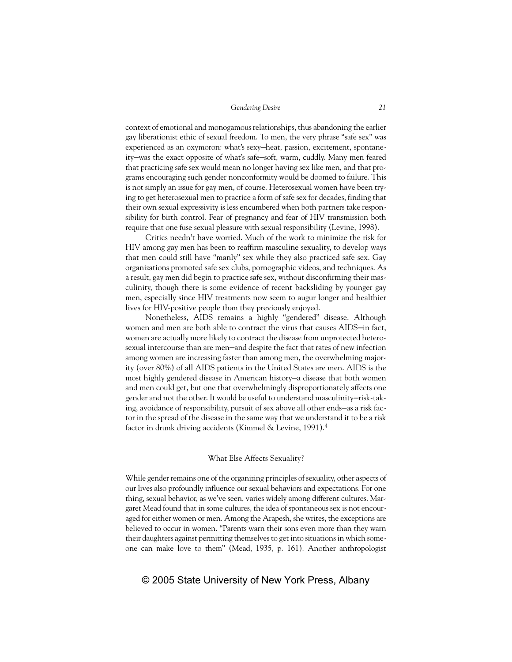context of emotional and monogamous relationships, thus abandoning the earlier gay liberationist ethic of sexual freedom. To men, the very phrase "safe sex" was experienced as an oxymoron: what's sexy**—**heat, passion, excitement, spontaneity**—**was the exact opposite of what's safe**—**soft, warm, cuddly. Many men feared that practicing safe sex would mean no longer having sex like men, and that programs encouraging such gender nonconformity would be doomed to failure. This is not simply an issue for gay men, of course. Heterosexual women have been trying to get heterosexual men to practice a form of safe sex for decades, finding that their own sexual expressivity is less encumbered when both partners take responsibility for birth control. Fear of pregnancy and fear of HIV transmission both require that one fuse sexual pleasure with sexual responsibility (Levine, 1998).

Critics needn't have worried. Much of the work to minimize the risk for HIV among gay men has been to reaffirm masculine sexuality, to develop ways that men could still have "manly" sex while they also practiced safe sex. Gay organizations promoted safe sex clubs, pornographic videos, and techniques. As a result, gay men did begin to practice safe sex, without disconfirming their masculinity, though there is some evidence of recent backsliding by younger gay men, especially since HIV treatments now seem to augur longer and healthier lives for HIV-positive people than they previously enjoyed.

Nonetheless, AIDS remains a highly "gendered" disease. Although women and men are both able to contract the virus that causes AIDS**—**in fact, women are actually more likely to contract the disease from unprotected heterosexual intercourse than are men**—**and despite the fact that rates of new infection among women are increasing faster than among men, the overwhelming majority (over 80%) of all AIDS patients in the United States are men. AIDS is the most highly gendered disease in American history**—**a disease that both women and men could get, but one that overwhelmingly disproportionately affects one gender and not the other. It would be useful to understand masculinity**—**risk-taking, avoidance of responsibility, pursuit of sex above all other ends**—**as a risk factor in the spread of the disease in the same way that we understand it to be a risk factor in drunk driving accidents (Kimmel & Levine, 1991).4

### What Else Affects Sexuality?

While gender remains one of the organizing principles of sexuality, other aspects of our lives also profoundly influence our sexual behaviors and expectations. For one thing, sexual behavior, as we've seen, varies widely among different cultures. Margaret Mead found that in some cultures, the idea of spontaneous sex is not encouraged for either women or men. Among the Arapesh, she writes, the exceptions are believed to occur in women. "Parents warn their sons even more than they warn their daughters against permitting themselves to get into situations in which someone can make love to them" (Mead, 1935, p. 161). Another anthropologist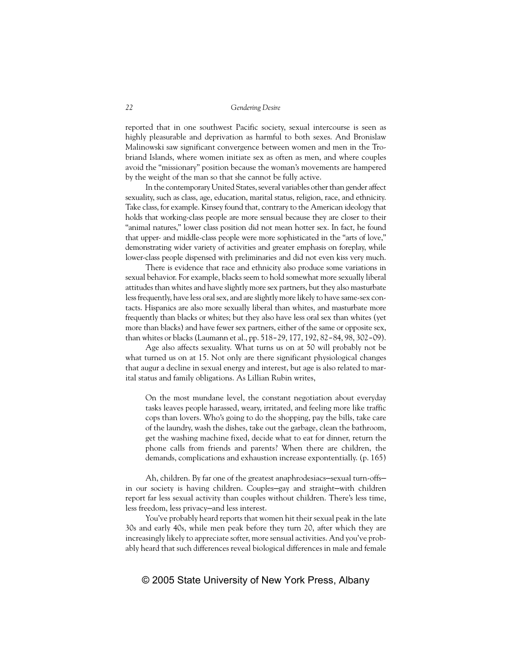reported that in one southwest Pacific society, sexual intercourse is seen as highly pleasurable and deprivation as harmful to both sexes. And Bronislaw Malinowski saw significant convergence between women and men in the Trobriand Islands, where women initiate sex as often as men, and where couples avoid the "missionary" position because the woman's movements are hampered by the weight of the man so that she cannot be fully active.

In the contemporary United States, several variables other than gender affect sexuality, such as class, age, education, marital status, religion, race, and ethnicity. Take class, for example. Kinsey found that, contrary to the American ideology that holds that working-class people are more sensual because they are closer to their "animal natures," lower class position did not mean hotter sex. In fact, he found that upper- and middle-class people were more sophisticated in the "arts of love," demonstrating wider variety of activities and greater emphasis on foreplay, while lower-class people dispensed with preliminaries and did not even kiss very much.

There is evidence that race and ethnicity also produce some variations in sexual behavior. For example, blacks seem to hold somewhat more sexually liberal attitudes than whites and have slightly more sex partners, but they also masturbate less frequently, have less oral sex, and are slightly more likely to have same-sex contacts. Hispanics are also more sexually liberal than whites, and masturbate more frequently than blacks or whites; but they also have less oral sex than whites (yet more than blacks) and have fewer sex partners, either of the same or opposite sex, than whites or blacks (Laumann et al., pp. 518**–**29, 177, 192, 82**–**84, 98, 302**–**09).

Age also affects sexuality. What turns us on at 50 will probably not be what turned us on at 15. Not only are there significant physiological changes that augur a decline in sexual energy and interest, but age is also related to marital status and family obligations. As Lillian Rubin writes,

On the most mundane level, the constant negotiation about everyday tasks leaves people harassed, weary, irritated, and feeling more like traffic cops than lovers. Who's going to do the shopping, pay the bills, take care of the laundry, wash the dishes, take out the garbage, clean the bathroom, get the washing machine fixed, decide what to eat for dinner, return the phone calls from friends and parents? When there are children, the demands, complications and exhaustion increase expontentially. (p. 165)

Ah, children. By far one of the greatest anaphrodesiacs**—**sexual turn-offs in our society is having children. Couples**—**gay and straight**—**with children report far less sexual activity than couples without children. There's less time, less freedom, less privacy**—**and less interest.

You've probably heard reports that women hit their sexual peak in the late 30s and early 40s, while men peak before they turn 20, after which they are increasingly likely to appreciate softer, more sensual activities. And you've probably heard that such differences reveal biological differences in male and female